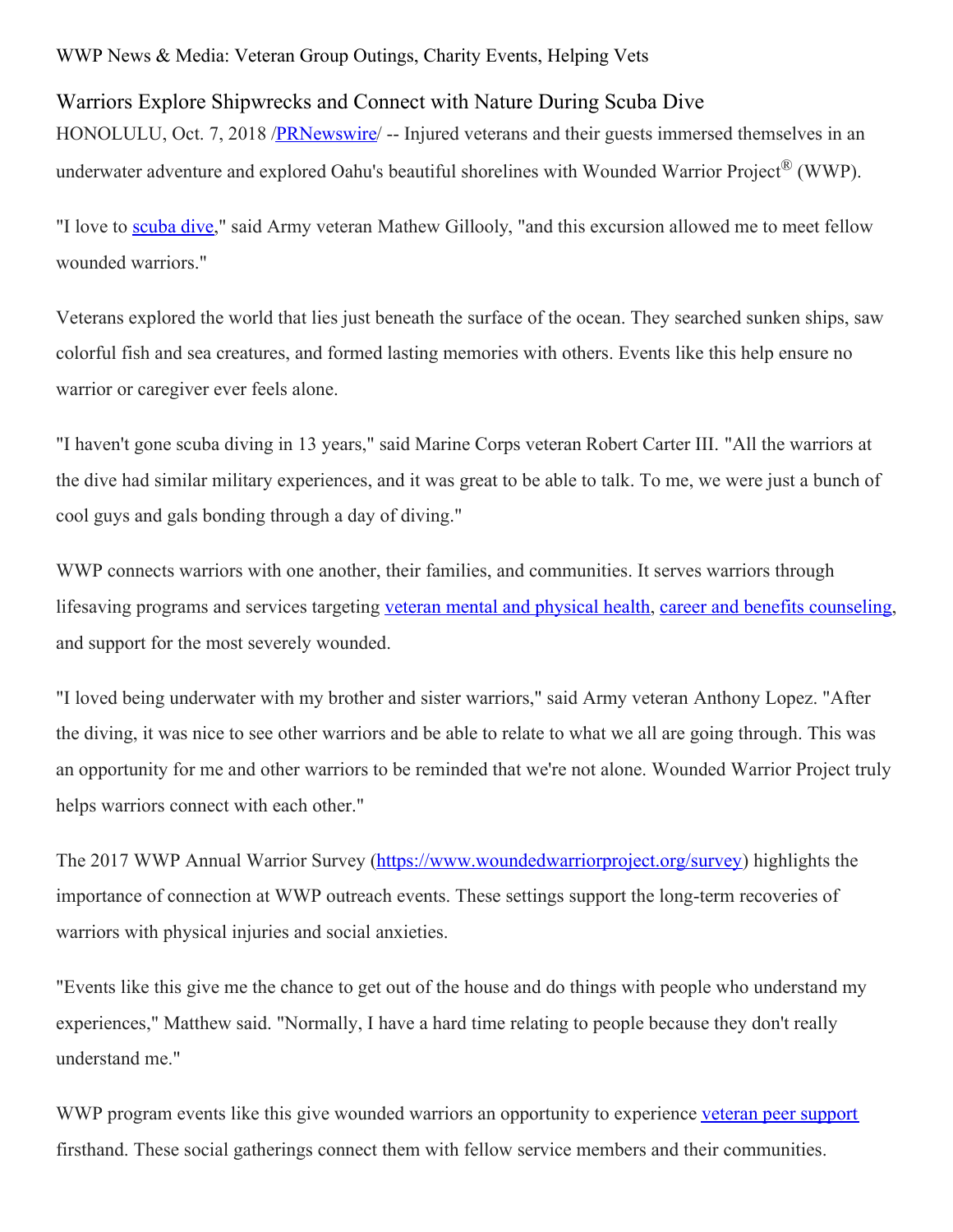## WWP News & Media: Veteran Group Outings, Charity Events, Helping Vets

## Warriors Explore Shipwrecks and Connect with Nature During Scuba Dive

HONOLULU, Oct. 7, 2018 /**PRNewswire** -- Injured veterans and their guests immersed themselves in an underwater adventure and explored Oahu's beautiful shorelines with Wounded Warrior Project<sup>®</sup> (WWP).

"I love to [scuba](https://www.woundedwarriorproject.org/featured-campaign/veterans-learn-scuba-basics-with-wounded-warrior-project) dive," said Army veteran Mathew Gillooly, "and this excursion allowed me to meet fellow wounded warriors."

Veterans explored the world that lies just beneath the surface of the ocean. They searched sunken ships, saw colorful fish and sea creatures, and formed lasting memories with others. Events like this help ensure no warrior or caregiver ever feels alone.

"I haven't gone scuba diving in 13 years," said Marine Corps veteran Robert Carter III. "All the warriors at the dive had similar military experiences, and it was great to be able to talk. To me, we were just a bunch of cool guys and gals bonding through a day of diving."

WWP connects warriors with one another, their families, and communities. It serves warriors through lifesaving programs and services targeting veteran mental and [physical](https://www.woundedwarriorproject.org/programs/mental-wellness) health, career and benefits [counseling](https://www.woundedwarriorproject.org/programs/warriors-to-work), and support for the most severely wounded.

"I loved being underwater with my brother and sister warriors," said Army veteran Anthony Lopez. "After the diving, it was nice to see other warriors and be able to relate to what we all are going through. This was an opportunity for me and other warriors to be reminded that we're not alone. Wounded Warrior Project truly helps warriors connect with each other."

The 2017 WWP Annual Warrior Survey [\(https://www.woundedwarriorproject.org/survey](https://c212.net/c/link/?t=0&l=en&o=2254942-1&h=2291052670&u=https%3A%2F%2Fwww.woundedwarriorproject.org%2Fsurvey&a=https%3A%2F%2Fwww.woundedwarriorproject.org%2Fsurvey)) highlights the importance of connection at WWP outreach events. These settings support the long-term recoveries of warriors with physical injuries and social anxieties.

"Events like this give me the chance to get out of the house and do things with people who understand my experiences," Matthew said. "Normally, I have a hard time relating to people because they don't really understand me."

WWP program events like this give wounded warriors an opportunity to experience veteran peer [support](https://www.woundedwarriorproject.org/programs/peer-support) firsthand. These social gatherings connect them with fellow service members and their communities.